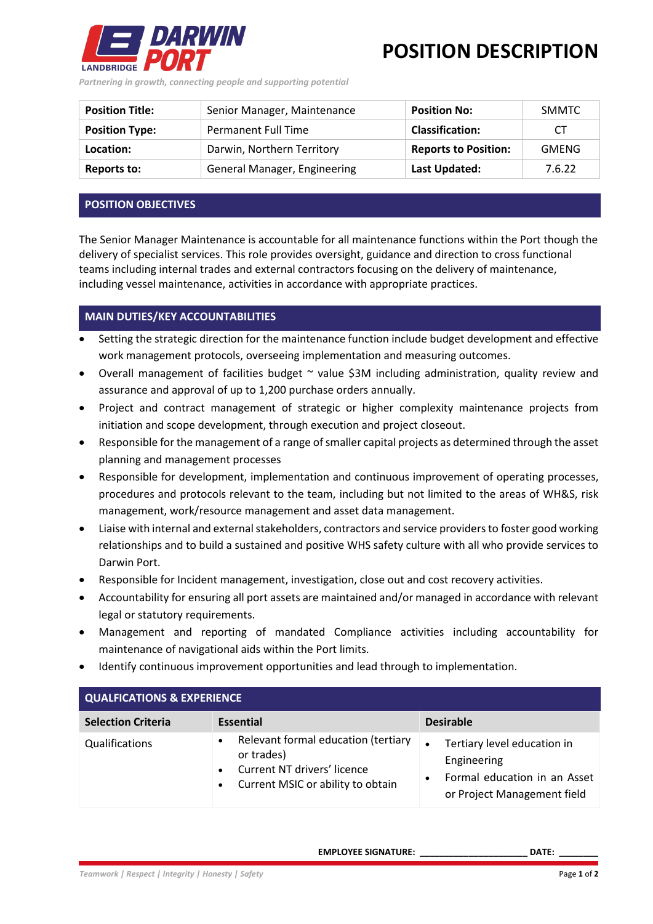

**POSITION DESCRIPTION**

*Partnering in growth, connecting people and supporting potential*

| <b>Position Title:</b> | Senior Manager, Maintenance  | <b>Position No:</b>         | SMMTC        |
|------------------------|------------------------------|-----------------------------|--------------|
| <b>Position Type:</b>  | Permanent Full Time          | <b>Classification:</b>      | СT           |
| Location:              | Darwin, Northern Territory   | <b>Reports to Position:</b> | <b>GMENG</b> |
| <b>Reports to:</b>     | General Manager, Engineering | Last Updated:               | 7.6.22       |

## **POSITION OBJECTIVES**

The Senior Manager Maintenance is accountable for all maintenance functions within the Port though the delivery of specialist services. This role provides oversight, guidance and direction to cross functional teams including internal trades and external contractors focusing on the delivery of maintenance, including vessel maintenance, activities in accordance with appropriate practices.

## **MAIN DUTIES/KEY ACCOUNTABILITIES**

- Setting the strategic direction for the maintenance function include budget development and effective work management protocols, overseeing implementation and measuring outcomes.
- Overall management of facilities budget ~ value \$3M including administration, quality review and assurance and approval of up to 1,200 purchase orders annually.
- Project and contract management of strategic or higher complexity maintenance projects from initiation and scope development, through execution and project closeout.
- Responsible for the management of a range of smaller capital projects as determined through the asset planning and management processes
- Responsible for development, implementation and continuous improvement of operating processes, procedures and protocols relevant to the team, including but not limited to the areas of WH&S, risk management, work/resource management and asset data management.
- Liaise with internal and external stakeholders, contractors and service providers to foster good working relationships and to build a sustained and positive WHS safety culture with all who provide services to Darwin Port.
- Responsible for Incident management, investigation, close out and cost recovery activities.
- Accountability for ensuring all port assets are maintained and/or managed in accordance with relevant legal or statutory requirements.
- Management and reporting of mandated Compliance activities including accountability for maintenance of navigational aids within the Port limits.
- Identify continuous improvement opportunities and lead through to implementation.

| <b>QUALFICATIONS &amp; EXPERIENCE</b> |                                                                                                                       |                                                                                                           |  |  |
|---------------------------------------|-----------------------------------------------------------------------------------------------------------------------|-----------------------------------------------------------------------------------------------------------|--|--|
| <b>Selection Criteria</b>             | <b>Essential</b>                                                                                                      | <b>Desirable</b>                                                                                          |  |  |
| Qualifications                        | Relevant formal education (tertiary<br>or trades)<br>Current NT drivers' licence<br>Current MSIC or ability to obtain | Tertiary level education in<br>Engineering<br>Formal education in an Asset<br>or Project Management field |  |  |

**EMPLOYEE SIGNATURE: \_\_\_\_\_\_\_\_\_\_\_\_\_\_\_\_\_\_\_\_\_\_ DATE: \_\_\_\_\_\_\_\_**